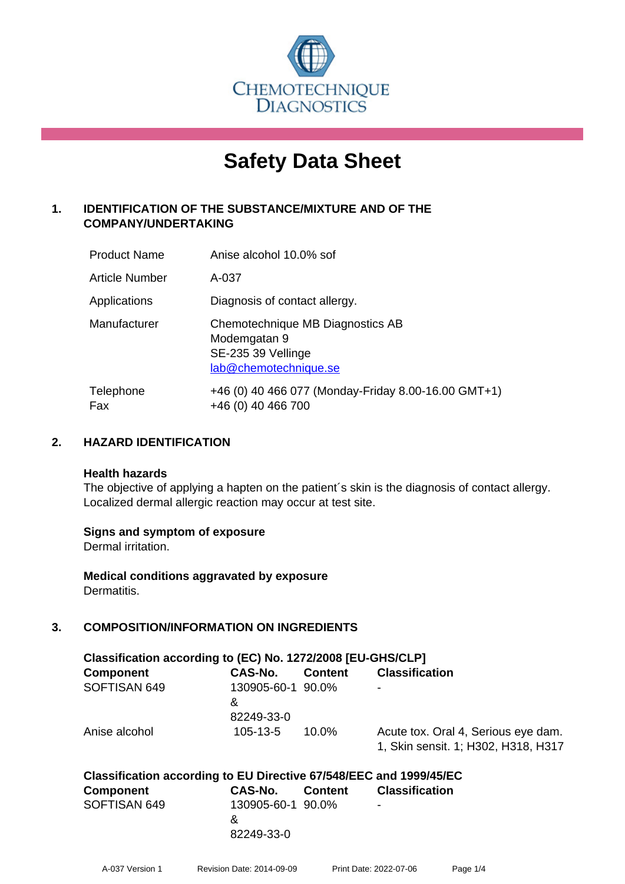

# **Safety Data Sheet**

## **1. IDENTIFICATION OF THE SUBSTANCE/MIXTURE AND OF THE COMPANY/UNDERTAKING**

| <b>Product Name</b> | Anise alcohol 10.0% sof                                                                         |
|---------------------|-------------------------------------------------------------------------------------------------|
| Article Number      | A-037                                                                                           |
| Applications        | Diagnosis of contact allergy.                                                                   |
| Manufacturer        | Chemotechnique MB Diagnostics AB<br>Modemgatan 9<br>SE-235 39 Vellinge<br>lab@chemotechnique.se |
| Telephone<br>Fax    | +46 (0) 40 466 077 (Monday-Friday 8.00-16.00 GMT+1)<br>+46 (0) 40 466 700                       |

## **2. HAZARD IDENTIFICATION**

#### **Health hazards**

The objective of applying a hapten on the patient's skin is the diagnosis of contact allergy. Localized dermal allergic reaction may occur at test site.

## **Signs and symptom of exposure**

Dermal irritation.

**Medical conditions aggravated by exposure** Dermatitis.

## **3. COMPOSITION/INFORMATION ON INGREDIENTS**

| Classification according to (EC) No. 1272/2008 [EU-GHS/CLP] |                        |                |                                                                            |  |
|-------------------------------------------------------------|------------------------|----------------|----------------------------------------------------------------------------|--|
| Component                                                   | CAS-No.                | <b>Content</b> | <b>Classification</b>                                                      |  |
| SOFTISAN 649                                                | 130905-60-1 90.0%<br>& |                | ۰                                                                          |  |
|                                                             | 82249-33-0             |                |                                                                            |  |
| Anise alcohol                                               | $105 - 13 - 5$         | $10.0\%$       | Acute tox. Oral 4, Serious eye dam.<br>1, Skin sensit. 1; H302, H318, H317 |  |

| Classification according to EU Directive 67/548/EEC and 1999/45/EC |                   |  |                          |  |
|--------------------------------------------------------------------|-------------------|--|--------------------------|--|
| Component                                                          | CAS-No. Content   |  | <b>Classification</b>    |  |
| SOFTISAN 649                                                       | 130905-60-1 90.0% |  | $\overline{\phantom{0}}$ |  |
|                                                                    | $\mathbf{g}$      |  |                          |  |
|                                                                    | 82249-33-0        |  |                          |  |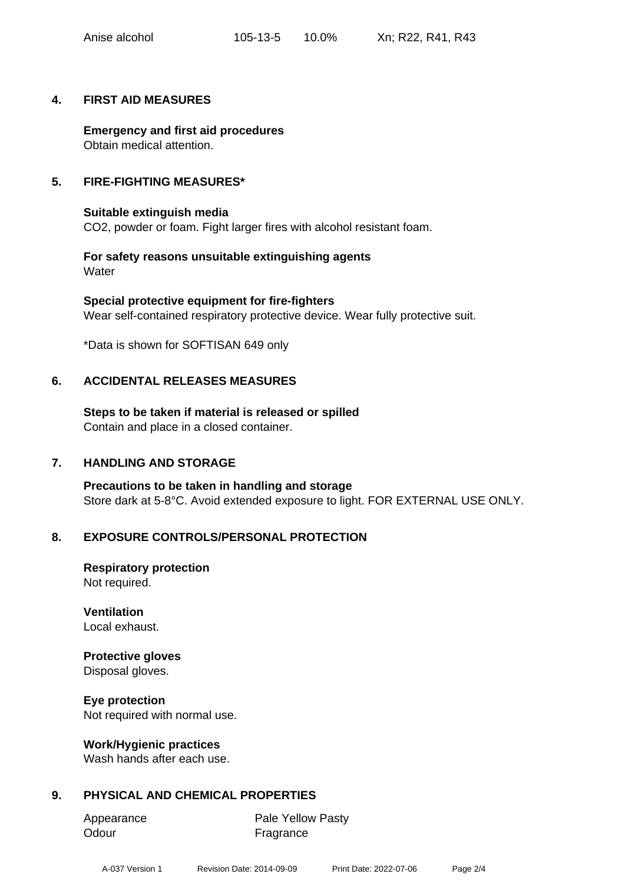## **4. FIRST AID MEASURES**

**Emergency and first aid procedures** Obtain medical attention.

## **5. FIRE-FIGHTING MEASURES\***

**Suitable extinguish media** CO2, powder or foam. Fight larger fires with alcohol resistant foam.

**For safety reasons unsuitable extinguishing agents Water** 

**Special protective equipment for fire-fighters** Wear self-contained respiratory protective device. Wear fully protective suit.

\*Data is shown for SOFTISAN 649 only

## **6. ACCIDENTAL RELEASES MEASURES**

**Steps to be taken if material is released or spilled** Contain and place in a closed container.

## **7. HANDLING AND STORAGE**

**Precautions to be taken in handling and storage** Store dark at 5-8°C. Avoid extended exposure to light. FOR EXTERNAL USE ONLY.

## **8. EXPOSURE CONTROLS/PERSONAL PROTECTION**

**Respiratory protection** Not required.

## **Ventilation**

Local exhaust.

## **Protective gloves**

Disposal gloves.

## **Eye protection**

Not required with normal use.

## **Work/Hygienic practices**

Wash hands after each use.

## **9. PHYSICAL AND CHEMICAL PROPERTIES**

| Appearance | <b>Pale Yellow Pasty</b> |
|------------|--------------------------|
| Odour      | Fragrance                |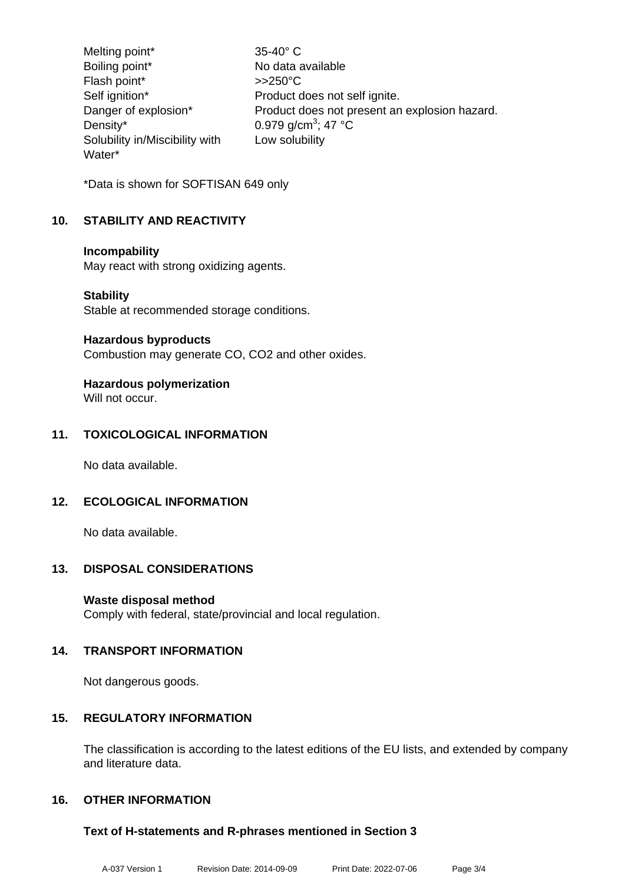Melting point\* 35-40° C Boiling point\* No data available Flash point\* >>250°C Self ignition\* Product does not self ignite.<br>Danger of explosion\* Product does not present are Product does not present an explosion hazard. Density\*  $0.979$  g/cm<sup>3</sup>; 47 °C Solubility in/Miscibility with Water\* Low solubility

\*Data is shown for SOFTISAN 649 only

## **10. STABILITY AND REACTIVITY**

#### **Incompability**

May react with strong oxidizing agents.

#### **Stability**

Stable at recommended storage conditions.

#### **Hazardous byproducts**

Combustion may generate CO, CO2 and other oxides.

## **Hazardous polymerization**

Will not occur.

## **11. TOXICOLOGICAL INFORMATION**

No data available.

## **12. ECOLOGICAL INFORMATION**

No data available.

## **13. DISPOSAL CONSIDERATIONS**

## **Waste disposal method**

Comply with federal, state/provincial and local regulation.

## **14. TRANSPORT INFORMATION**

Not dangerous goods.

## **15. REGULATORY INFORMATION**

The classification is according to the latest editions of the EU lists, and extended by company and literature data.

## **16. OTHER INFORMATION**

## **Text of H-statements and R-phrases mentioned in Section 3**